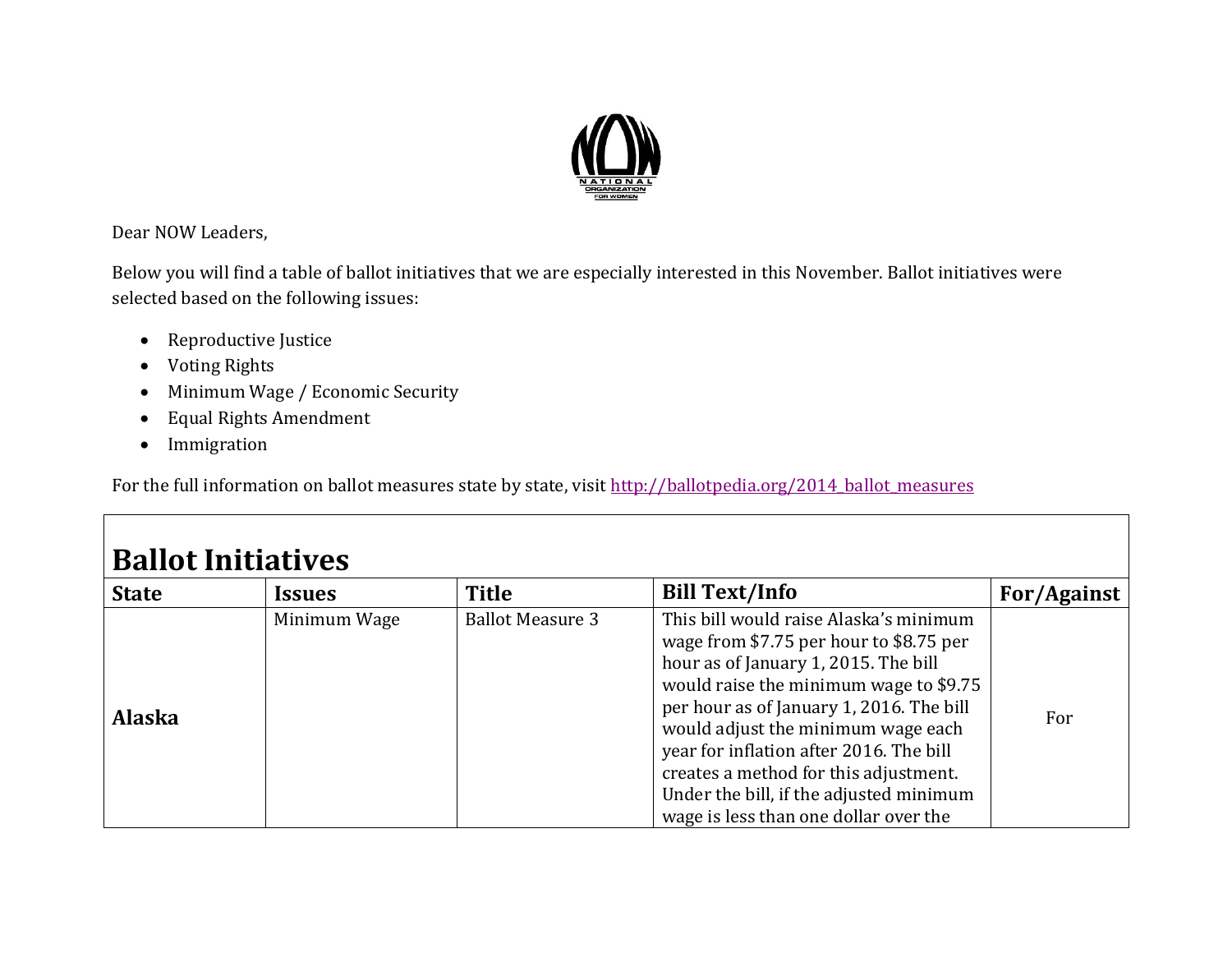

Dear NOW Leaders,

Below you will find a table of ballot initiatives that we are especially interested in this November. Ballot initiatives were selected based on the following issues:

- Reproductive Justice
- Voting Rights
- Minimum Wage / Economic Security
- Equal Rights Amendment
- Immigration

For the full information on ballot measures state by state, visit [http://ballotpedia.org/2014\\_ballot\\_measures](http://ballotpedia.org/2014_ballot_measures)

| <b>Ballot Initiatives</b> |                      |                         |                                                                                                                                                                                                                                                                                                                                                                                                                               |             |  |
|---------------------------|----------------------|-------------------------|-------------------------------------------------------------------------------------------------------------------------------------------------------------------------------------------------------------------------------------------------------------------------------------------------------------------------------------------------------------------------------------------------------------------------------|-------------|--|
| <b>State</b>              | <i><b>Issues</b></i> | Title                   | <b>Bill Text/Info</b>                                                                                                                                                                                                                                                                                                                                                                                                         | For/Against |  |
| <b>Alaska</b>             | Minimum Wage         | <b>Ballot Measure 3</b> | This bill would raise Alaska's minimum<br>wage from \$7.75 per hour to \$8.75 per<br>hour as of January 1, 2015. The bill<br>would raise the minimum wage to \$9.75<br>per hour as of January 1, 2016. The bill<br>would adjust the minimum wage each<br>year for inflation after 2016. The bill<br>creates a method for this adjustment.<br>Under the bill, if the adjusted minimum<br>wage is less than one dollar over the | For         |  |

## **Ballot Initiatives**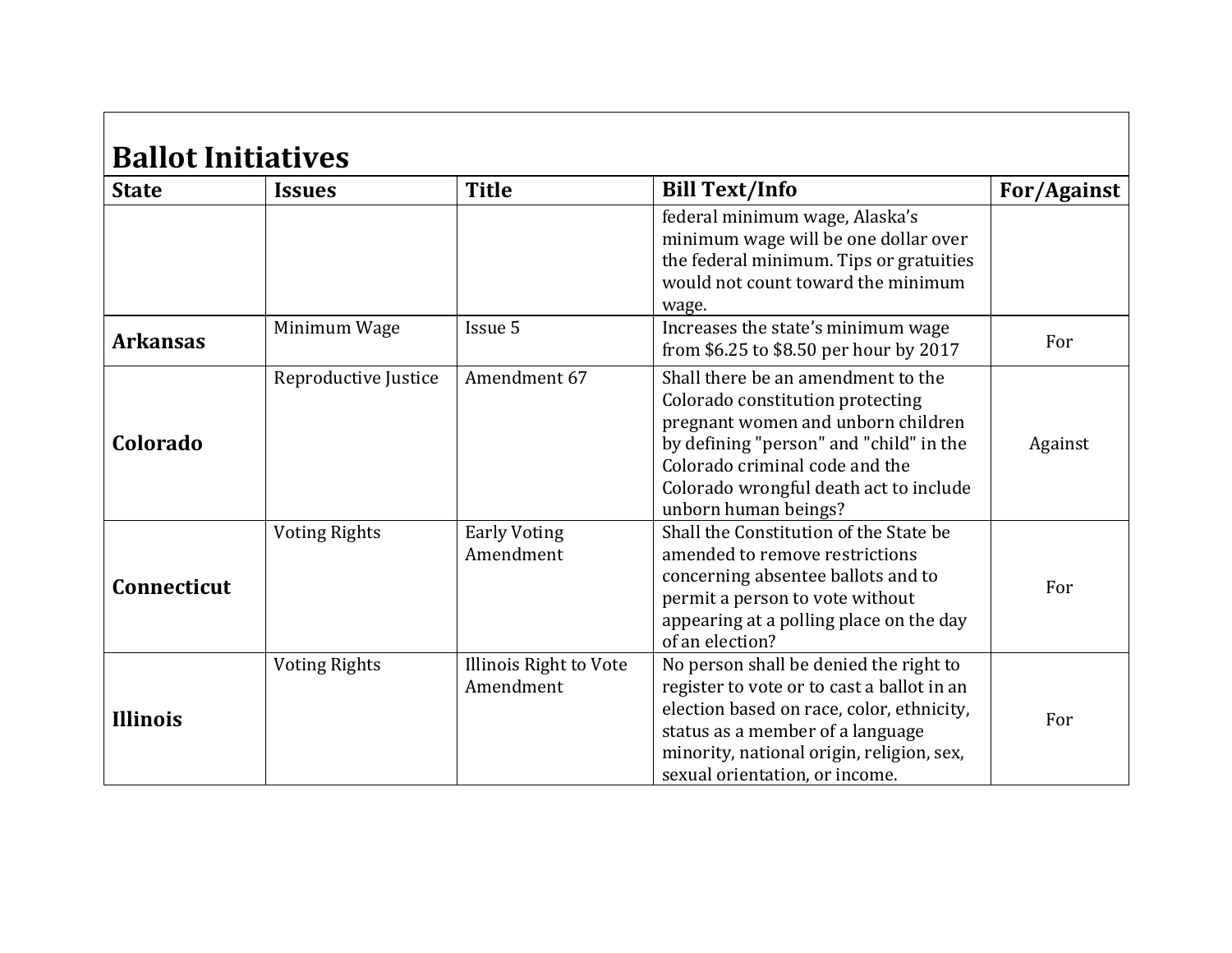| <b>Ballot Initiatives</b><br><b>State</b> | <b>Issues</b>        | <b>Title</b>                        | <b>Bill Text/Info</b>                                                                                                                                                                                                                                       | <b>For/Against</b> |
|-------------------------------------------|----------------------|-------------------------------------|-------------------------------------------------------------------------------------------------------------------------------------------------------------------------------------------------------------------------------------------------------------|--------------------|
|                                           |                      |                                     | federal minimum wage, Alaska's<br>minimum wage will be one dollar over<br>the federal minimum. Tips or gratuities<br>would not count toward the minimum<br>wage.                                                                                            |                    |
| <b>Arkansas</b>                           | Minimum Wage         | Issue 5                             | Increases the state's minimum wage<br>from \$6.25 to \$8.50 per hour by 2017                                                                                                                                                                                | For                |
| Colorado                                  | Reproductive Justice | Amendment 67                        | Shall there be an amendment to the<br>Colorado constitution protecting<br>pregnant women and unborn children<br>by defining "person" and "child" in the<br>Colorado criminal code and the<br>Colorado wrongful death act to include<br>unborn human beings? | Against            |
| Connecticut                               | <b>Voting Rights</b> | <b>Early Voting</b><br>Amendment    | Shall the Constitution of the State be<br>amended to remove restrictions<br>concerning absentee ballots and to<br>permit a person to vote without<br>appearing at a polling place on the day<br>of an election?                                             | For                |
| <b>Illinois</b>                           | <b>Voting Rights</b> | Illinois Right to Vote<br>Amendment | No person shall be denied the right to<br>register to vote or to cast a ballot in an<br>election based on race, color, ethnicity,<br>status as a member of a language<br>minority, national origin, religion, sex,<br>sexual orientation, or income.        | For                |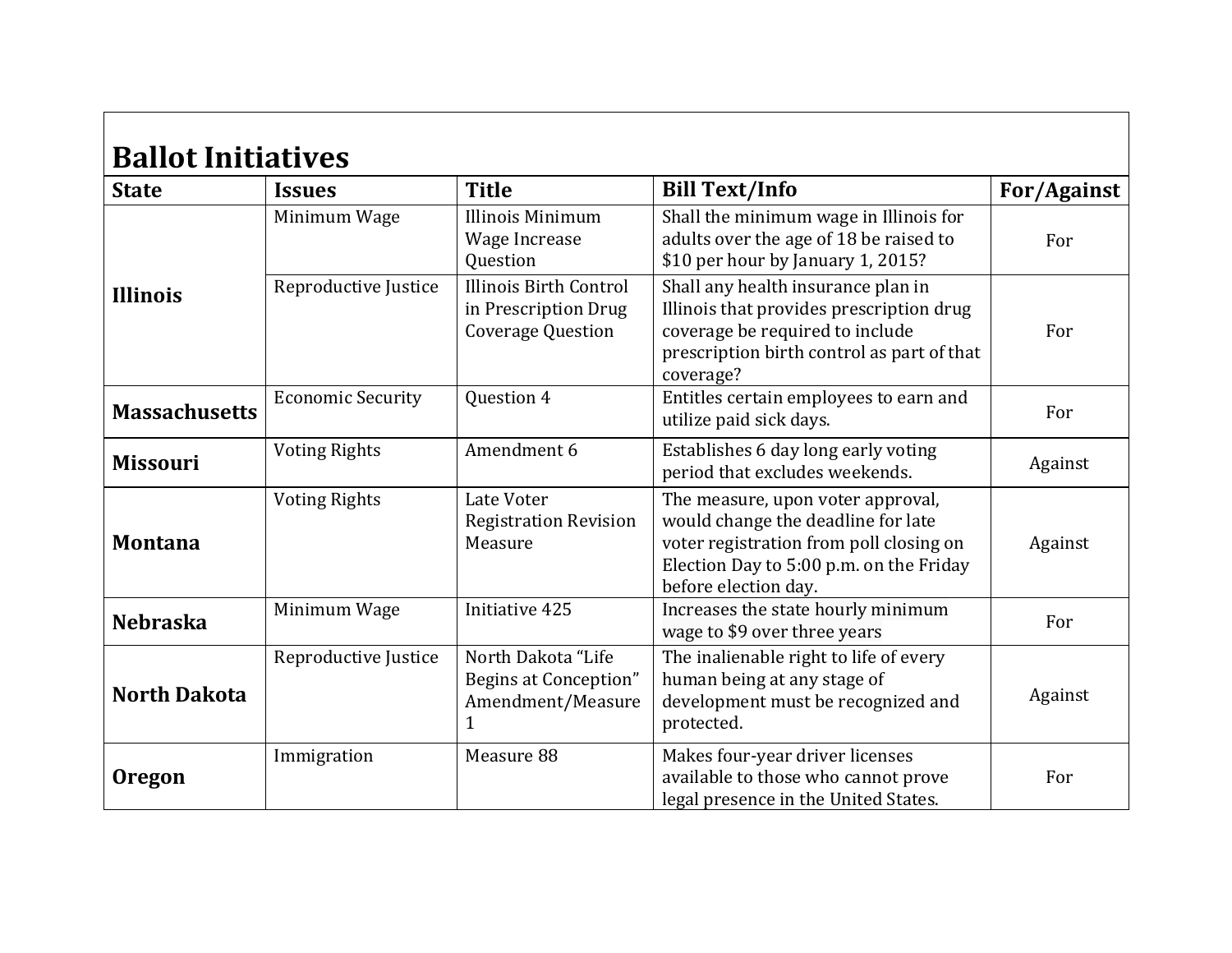| <b>Ballot Initiatives</b> |                          |                                                                                   |                                                                                                                                                                                       |             |
|---------------------------|--------------------------|-----------------------------------------------------------------------------------|---------------------------------------------------------------------------------------------------------------------------------------------------------------------------------------|-------------|
| <b>State</b>              | <b>Issues</b>            | <b>Title</b>                                                                      | <b>Bill Text/Info</b>                                                                                                                                                                 | For/Against |
| <b>Illinois</b>           | Minimum Wage             | Illinois Minimum<br>Wage Increase<br>Question                                     | Shall the minimum wage in Illinois for<br>adults over the age of 18 be raised to<br>\$10 per hour by January 1, 2015?                                                                 | For         |
|                           | Reproductive Justice     | <b>Illinois Birth Control</b><br>in Prescription Drug<br><b>Coverage Question</b> | Shall any health insurance plan in<br>Illinois that provides prescription drug<br>coverage be required to include<br>prescription birth control as part of that<br>coverage?          | For         |
| <b>Massachusetts</b>      | <b>Economic Security</b> | Question 4                                                                        | Entitles certain employees to earn and<br>utilize paid sick days.                                                                                                                     | For         |
| <b>Missouri</b>           | <b>Voting Rights</b>     | Amendment 6                                                                       | Establishes 6 day long early voting<br>period that excludes weekends.                                                                                                                 | Against     |
| <b>Montana</b>            | <b>Voting Rights</b>     | Late Voter<br><b>Registration Revision</b><br>Measure                             | The measure, upon voter approval,<br>would change the deadline for late<br>voter registration from poll closing on<br>Election Day to 5:00 p.m. on the Friday<br>before election day. | Against     |
| <b>Nebraska</b>           | Minimum Wage             | Initiative 425                                                                    | Increases the state hourly minimum<br>wage to \$9 over three years                                                                                                                    | For         |
| <b>North Dakota</b>       | Reproductive Justice     | North Dakota "Life<br>Begins at Conception"<br>Amendment/Measure<br>$\mathbf{1}$  | The inalienable right to life of every<br>human being at any stage of<br>development must be recognized and<br>protected.                                                             | Against     |
| <b>Oregon</b>             | Immigration              | Measure 88                                                                        | Makes four-year driver licenses<br>available to those who cannot prove<br>legal presence in the United States.                                                                        | For         |

 $\blacksquare$